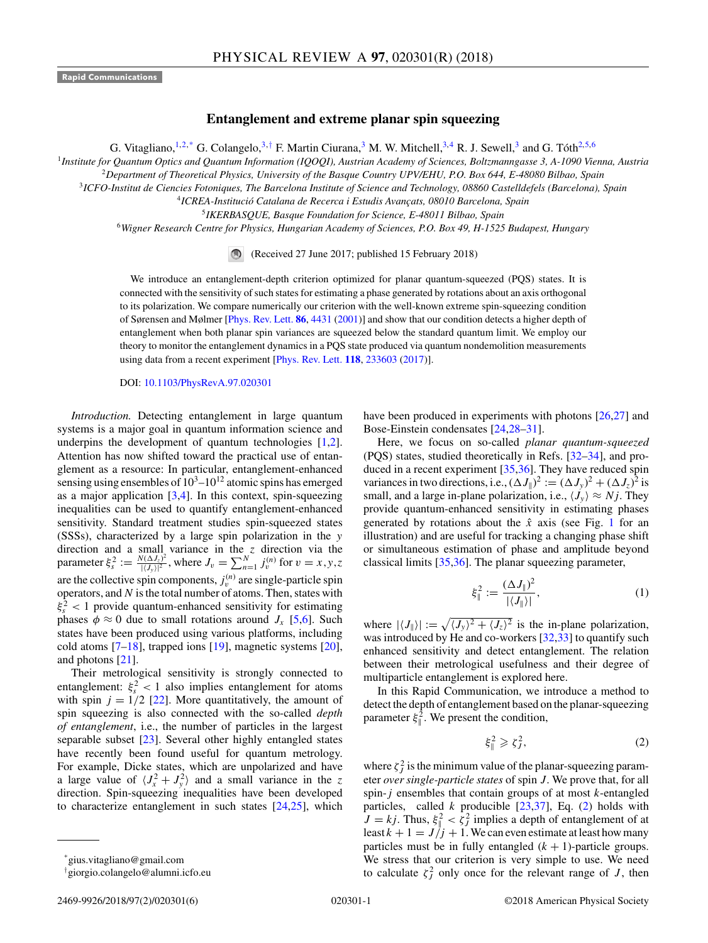<span id="page-0-0"></span>**Rapid Communications**

## **Entanglement and extreme planar spin squeezing**

G. Vitagliano,  $1.2$ ,\* G. Colangelo,  $3.4$  F. Martin Ciurana,  $3$  M. W. Mitchell,  $3.4$  R. J. Sewell,  $3$  and G. Tóth $2.5,6$ 

<sup>1</sup>*Institute for Quantum Optics and Quantum Information (IQOQI), Austrian Academy of Sciences, Boltzmanngasse 3, A-1090 Vienna, Austria*

<sup>2</sup>*Department of Theoretical Physics, University of the Basque Country UPV/EHU, P.O. Box 644, E-48080 Bilbao, Spain*

<sup>3</sup>*ICFO-Institut de Ciencies Fotoniques, The Barcelona Institute of Science and Technology, 08860 Castelldefels (Barcelona), Spain*

<sup>4</sup>*ICREA-Institució Catalana de Recerca i Estudis Avançats, 08010 Barcelona, Spain*

<sup>5</sup>*IKERBASQUE, Basque Foundation for Science, E-48011 Bilbao, Spain*

<sup>6</sup>*Wigner Research Centre for Physics, Hungarian Academy of Sciences, P.O. Box 49, H-1525 Budapest, Hungary*

(Received 27 June 2017; published 15 February 2018)

We introduce an entanglement-depth criterion optimized for planar quantum-squeezed (PQS) states. It is connected with the sensitivity of such states for estimating a phase generated by rotations about an axis orthogonal to its polarization. We compare numerically our criterion with the well-known extreme spin-squeezing condition of Sørensen and Mølmer [\[Phys. Rev. Lett.](https://doi.org/10.1103/PhysRevLett.86.4431) **[86](https://doi.org/10.1103/PhysRevLett.86.4431)**, [4431](https://doi.org/10.1103/PhysRevLett.86.4431) [\(2001\)](https://doi.org/10.1103/PhysRevLett.86.4431)] and show that our condition detects a higher depth of entanglement when both planar spin variances are squeezed below the standard quantum limit. We employ our theory to monitor the entanglement dynamics in a PQS state produced via quantum nondemolition measurements using data from a recent experiment [\[Phys. Rev. Lett.](https://doi.org/10.1103/PhysRevLett.118.233603) **[118](https://doi.org/10.1103/PhysRevLett.118.233603)**, [233603](https://doi.org/10.1103/PhysRevLett.118.233603) [\(2017\)](https://doi.org/10.1103/PhysRevLett.118.233603)].

DOI: [10.1103/PhysRevA.97.020301](https://doi.org/10.1103/PhysRevA.97.020301)

*Introduction.* Detecting entanglement in large quantum systems is a major goal in quantum information science and underpins the development of quantum technologies [\[1,2\]](#page-4-0). Attention has now shifted toward the practical use of entanglement as a resource: In particular, entanglement-enhanced sensing using ensembles of  $10^3$ – $10^{12}$  atomic spins has emerged as a major application  $[3,4]$ . In this context, spin-squeezing inequalities can be used to quantify entanglement-enhanced sensitivity. Standard treatment studies spin-squeezed states (SSSs), characterized by a large spin polarization in the *y* direction and a small variance in the *z* direction via the parameter  $\xi_s^2 := \frac{N(\Delta J_z)^2}{|\langle J_y \rangle|^2}$  $J_{(l}(\Delta J_z)^2 \over |(J_y)|^2$ , where  $J_v = \sum_{n=1}^{N} j_v^{(n)}$  for  $v = x, y, z$ are the collective spin components,  $j_v^{(n)}$  are single-particle spin operators, and *N* is the total number of atoms. Then, states with  $\xi_s^2$  < 1 provide quantum-enhanced sensitivity for estimating phases  $\phi \approx 0$  due to small rotations around *J<sub>x</sub>* [\[5,6\]](#page-4-0). Such states have been produced using various platforms, including cold atoms  $[7-18]$  $[7-18]$ , trapped ions [\[19\]](#page-5-0), magnetic systems [\[20\]](#page-5-0), and photons [\[21\]](#page-5-0).

Their metrological sensitivity is strongly connected to entanglement:  $\xi_s^2 < 1$  also implies entanglement for atoms with spin  $j = 1/2$  [\[22\]](#page-5-0). More quantitatively, the amount of spin squeezing is also connected with the so-called *depth of entanglement*, i.e., the number of particles in the largest separable subset [\[23\]](#page-5-0). Several other highly entangled states have recently been found useful for quantum metrology. For example, Dicke states, which are unpolarized and have a large value of  $\langle J_x^2 + J_y^2 \rangle$  and a small variance in the *z* direction. Spin-squeezing inequalities have been developed to characterize entanglement in such states [\[24,25\]](#page-5-0), which

have been produced in experiments with photons [\[26,27\]](#page-5-0) and Bose-Einstein condensates [\[24,28–31\]](#page-5-0).

Here, we focus on so-called *planar quantum-squeezed* (PQS) states, studied theoretically in Refs. [\[32–34\]](#page-5-0), and produced in a recent experiment [\[35,36\]](#page-5-0). They have reduced spin variances in two directions, i.e.,  $(\Delta J_{\parallel})^2 := (\Delta J_y)^2 + (\Delta J_z)^2$  is small, and a large in-plane polarization, i.e.,  $\langle J_y \rangle \approx Nj$ . They provide quantum-enhanced sensitivity in estimating phases generated by rotations about the  $\hat{x}$  axis (see Fig. [1](#page-1-0) for an illustration) and are useful for tracking a changing phase shift or simultaneous estimation of phase and amplitude beyond classical limits [\[35,36\]](#page-5-0). The planar squeezing parameter,

$$
\xi_{\parallel}^2 := \frac{(\Delta J_{\parallel})^2}{|\langle J_{\parallel} \rangle|},\tag{1}
$$

where  $|\langle J_{\parallel} \rangle| := \sqrt{\langle J_y \rangle^2 + \langle J_z \rangle^2}$  is the in-plane polarization, was introduced by He and co-workers [\[32,33\]](#page-5-0) to quantify such enhanced sensitivity and detect entanglement. The relation between their metrological usefulness and their degree of multiparticle entanglement is explored here.

In this Rapid Communication, we introduce a method to detect the depth of entanglement based on the planar-squeezing parameter  $\xi_{\parallel}^2$ . We present the condition,

$$
\xi_{\parallel}^2 \geqslant \zeta_J^2,\tag{2}
$$

where  $\zeta_j^2$  is the minimum value of the planar-squeezing parameter *over single-particle states* of spin *J.* We prove that, for all spin-*j* ensembles that contain groups of at most *k*-entangled particles, called *k* producible [\[23,37\]](#page-5-0), Eq. (2) holds with  $J = kj$ . Thus,  $\xi_j^2 < \zeta_j^2$  implies a depth of entanglement of at least  $k + 1 = J/j + 1$ . We can even estimate at least how many particles must be in fully entangled  $(k + 1)$ -particle groups. We stress that our criterion is very simple to use. We need to calculate  $\zeta_j^2$  only once for the relevant range of *J*, then

<sup>\*</sup>gius.vitagliano@gmail.com

<sup>†</sup> giorgio.colangelo@alumni.icfo.eu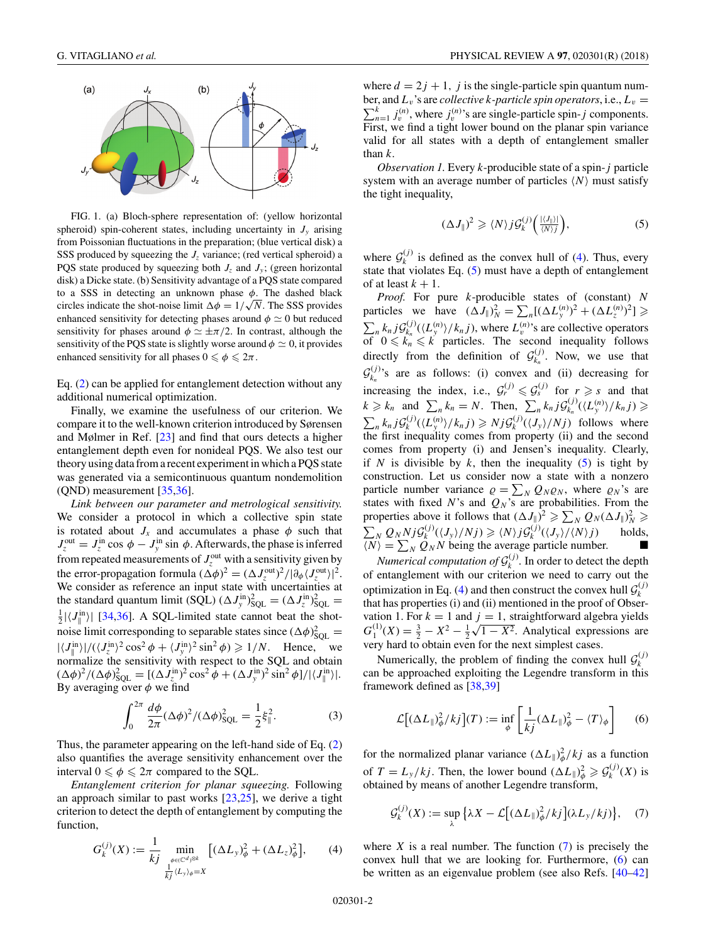<span id="page-1-0"></span>

FIG. 1. (a) Bloch-sphere representation of: (yellow horizontal spheroid) spin-coherent states, including uncertainty in  $J<sub>v</sub>$  arising from Poissonian fluctuations in the preparation; (blue vertical disk) a SSS produced by squeezing the *J<sub>z</sub>* variance; (red vertical spheroid) a PQS state produced by squeezing both  $J_z$  and  $J_y$ ; (green horizontal disk) a Dicke state. (b) Sensitivity advantage of a PQS state compared to a SSS in detecting an unknown phase *φ*. The dashed black circles indicate the shot-noise limit  $\Delta \phi = 1/\sqrt{N}$ . The SSS provides enhanced sensitivity for detecting phases around  $\phi \simeq 0$  but reduced sensitivity for phases around  $\phi \simeq \pm \pi/2$ . In contrast, although the sensitivity of the PQS state is slightly worse around  $\phi \simeq 0$ , it provides enhanced sensitivity for all phases  $0 \le \phi \le 2\pi$ .

Eq. [\(2\)](#page-0-0) can be applied for entanglement detection without any additional numerical optimization.

Finally, we examine the usefulness of our criterion. We compare it to the well-known criterion introduced by Sørensen and Mølmer in Ref. [\[23\]](#page-5-0) and find that ours detects a higher entanglement depth even for nonideal PQS. We also test our theory using data from a recent experiment in which a PQS state was generated via a semicontinuous quantum nondemolition (QND) measurement [\[35,36\]](#page-5-0).

*Link between our parameter and metrological sensitivity.* We consider a protocol in which a collective spin state is rotated about  $J_x$  and accumulates a phase  $\phi$  such that  $J_z^{\text{out}} = J_z^{\text{in}} \cos \phi - J_y^{\text{in}} \sin \phi$ . Afterwards, the phase is inferred from repeated measurements of  $J_z^{\text{out}}$  with a sensitivity given by the error-propagation formula  $(\Delta \phi)^2 = (\Delta J_z^{\text{out}})^2/|\partial_{\phi} \langle J_z^{\text{out}} \rangle|^2$ . We consider as reference an input state with uncertainties at the standard quantum limit (SQL)  $(\Delta J_y^{\text{in}})^2_{SQL} = (\Delta J_z^{\text{in}})^2_{SQL} =$ <br> $\frac{1}{2}$  |/*z*<sup>in</sup>)| [34.36]. A SQL limited state cannot beat the shot  $\frac{1}{2} |\langle J_{\parallel}^{\text{in}} \rangle|$  [\[34,36\]](#page-5-0). A SQL-limited state cannot beat the shotnoise limit corresponding to separable states since  $(\Delta \phi)_{SQL}^2 =$  $|\langle J_{\parallel}^{\text{in}} \rangle| / (\langle J_{z}^{\text{in}} \rangle^2 \cos^2 \phi + \langle J_{y}^{\text{in}} \rangle^2 \sin^2 \phi) \ge 1/N$ . Hence, we normalize the sensitivity with respect to the SQL and obtain  $(\Delta \phi)^2 / (\Delta \phi)_{SQL}^2 = [(\Delta J_z^{\text{in}})^2 \cos^2 \phi + (\Delta J_y^{\text{in}})^2 \sin^2 \phi] / |\langle J_{\parallel}^{\text{in}} \rangle|.$ By averaging over  $\phi$  we find

$$
\int_0^{2\pi} \frac{d\phi}{2\pi} (\Delta \phi)^2 / (\Delta \phi)_{\text{SQL}}^2 = \frac{1}{2} \xi_{\parallel}^2.
$$
 (3)

Thus, the parameter appearing on the left-hand side of Eq. [\(2\)](#page-0-0) also quantifies the average sensitivity enhancement over the interval  $0 \le \phi \le 2\pi$  compared to the SQL.

*Entanglement criterion for planar squeezing.* Following an approach similar to past works  $[23,25]$ , we derive a tight criterion to detect the depth of entanglement by computing the function,

$$
G_k^{(j)}(X) := \frac{1}{kj} \min_{\substack{\phi \in (\mathbb{C}^d)^{\otimes k} \\ \frac{1}{kj} \langle L_y \rangle_{\phi} = X}} \left[ (\Delta L_y)^2_{\phi} + (\Delta L_z)^2_{\phi} \right],\qquad(4)
$$

where  $d = 2j + 1$ , *j* is the single-particle spin quantum num- $\sum_{n=1}^{k} j_v^{(n)}$ , where  $j_v^{(n)}$ 's are single-particle spin-*j* components. ber, and  $L_v$ 's are *collective k-particle spin operators*, i.e.,  $L_v$  = First, we find a tight lower bound on the planar spin variance valid for all states with a depth of entanglement smaller than *k*.

*Observation 1.* Every *k*-producible state of a spin-*j* particle system with an average number of particles  $\langle N \rangle$  must satisfy the tight inequality,

$$
(\Delta J_{\parallel})^2 \geqslant \langle N \rangle j \mathcal{G}_k^{(j)} \Big( \frac{|\langle J_{\parallel} \rangle|}{\langle N \rangle j} \Big), \tag{5}
$$

where  $G_k^{(j)}$  is defined as the convex hull of (4). Thus, every state that violates Eq.  $(5)$  must have a depth of entanglement of at least  $k + 1$ .

*Proof.* For pure *k*-producible states of (constant) *N* particles we have  $(\Delta J_{\parallel})_N^2 = \sum_n [(\Delta L_y^{(n)})^2 + (\Delta L_z^{(n)})^2] \geqslant$  $\sum_{n} k_n j \mathcal{G}_{k_n}^{(j)}(\langle L_y^{(n)} \rangle / k_n j)$ , where  $L_y^{(n)}$ 's are collective operators of  $0 \leq k_n \leq k$  particles. The second inequality follows directly from the definition of  $\mathcal{G}_{k_n}^{(j)}$ . Now, we use that  $G_{k_n}^{(j)}$ 's are as follows: (i) convex and (ii) decreasing for increasing the index, i.e.,  $\mathcal{G}_r^{(j)} \leq \mathcal{G}_s^{(j)}$  for  $r \geq s$  and that  $k \geq k_n$  and  $\sum_n k_n = N$ . Then,  $\sum_n k_n j \mathcal{G}_{k_n}^{(j)}(\langle L_y^{(n)} \rangle / k_n j) \geq$  $\sum_{n} k_n j \mathcal{G}_k^{(j)}(\langle L_y^{(n)} \rangle / k_n j) \ge N j \mathcal{G}_k^{(j)}(\langle J_y \rangle / N_j)$  follows where the first inequality comes from property (ii) and the second comes from property (i) and Jensen's inequality. Clearly, if *N* is divisible by  $k$ , then the inequality  $(5)$  is tight by construction. Let us consider now a state with a nonzero particle number variance  $\rho = \sum_{N} Q_{N} \rho_{N}$ , where  $\rho_{N}$ 's are states with fixed  $N$ 's and  $Q_N$ 's are probabilities. From the properties above it follows that  $(\Delta J_{\parallel})^2 \geq \sum_N Q_N (\Delta J_{\parallel})^2_N \geq$  $\sum_{N} Q_{N} N_{j} \mathcal{G}_{k}^{(j)}(\langle J_{y} \rangle / N_{j}) \geq \langle N \rangle_{j} \mathcal{G}_{k}^{(j)}(\langle J_{y} \rangle / \langle N \rangle_{j})$  holds,

 $\langle N \rangle = \sum_N Q_N N$  being the average particle number.  $\blacksquare$ <br>*Numerical computation of*  $\mathcal{G}_k^{(j)}$ . In order to detect the depth of entanglement with our criterion we need to carry out the optimization in Eq. (4) and then construct the convex hull  $\mathcal{G}_k^{(j)}$ that has properties (i) and (ii) mentioned in the proof of Observation 1. For  $k = 1$  and  $j = 1$ , straightforward algebra yields  $G_1^{(1)}(X) = \frac{3}{2} - X^2 - \frac{1}{2}\sqrt{1 - X^2}$ . Analytical expressions are very hard to obtain even for the next simplest cases.

Numerically, the problem of finding the convex hull  $\mathcal{G}_k^{(j)}$ can be approached exploiting the Legendre transform in this framework defined as [\[38,39\]](#page-5-0)

$$
\mathcal{L}\big[(\Delta L_{\parallel}\big)^2_{\phi}/kj\big](T) := \inf_{\phi} \left[\frac{1}{kj}(\Delta L_{\parallel}\big)^2_{\phi} - \langle T \rangle_{\phi}\right] \tag{6}
$$

for the normalized planar variance  $(\Delta L_{\parallel})^2_{\phi}/kj$  as a function of  $T = L_y/kj$ . Then, the lower bound  $(\Delta L_{\parallel})^2_{\phi} \geq \mathcal{G}_k^{(j)}(X)$  is obtained by means of another Legendre transform,

$$
\mathcal{G}_{k}^{(j)}(X) := \sup_{\lambda} \left\{ \lambda X - \mathcal{L} \left[ (\Delta L_{\parallel})_{\phi}^{2} / k j \right] (\lambda L_{y} / k j) \right\}, \quad (7)
$$

where  $X$  is a real number. The function  $(7)$  is precisely the convex hull that we are looking for. Furthermore, (6) can be written as an eigenvalue problem (see also Refs. [\[40–42\]](#page-5-0)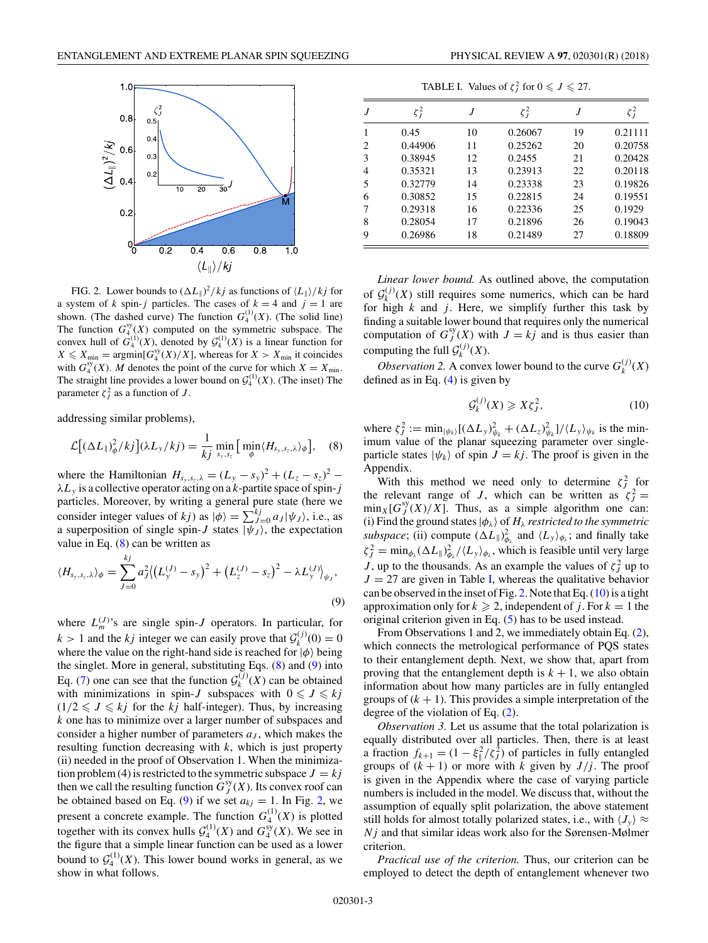<span id="page-2-0"></span>

FIG. 2. Lower bounds to  $(\Delta L_{\parallel})^2 / k j$  as functions of  $\langle L_{\parallel} \rangle / k j$  for a system of *k* spin-*j* particles. The cases of  $k = 4$  and  $j = 1$  are shown. (The dashed curve) The function  $G_4^{(1)}(X)$ . (The solid line) The function  $G_4^{\text{sy}}(X)$  computed on the symmetric subspace. The convex hull of  $G_4^{(1)}(X)$ , denoted by  $\mathcal{G}_4^{(1)}(X)$  is a linear function for  $X \leq X_{\min} = \text{argmin}[G_4^{\text{sy}}(X)/X]$ , whereas for  $X > X_{\min}$  it coincides with  $G_4^{\text{sy}}(X)$ . *M* denotes the point of the curve for which  $X = X_{\text{min}}$ . The straight line provides a lower bound on  $\mathcal{G}_4^{(1)}(X)$ . (The inset) The parameter  $\zeta_j^2$  as a function of *J*.

addressing similar problems),

$$
\mathcal{L}[(\Delta L_{\parallel})^2_{\phi}/kj](\lambda L_{y}/kj) = \frac{1}{kj} \min_{s_y, s_z} \left[ \min_{\phi} \langle H_{s_y, s_z, \lambda} \rangle_{\phi} \right], \quad (8)
$$

where the Hamiltonian  $H_{s_y, s_z, \lambda} = (L_y - s_y)^2 + (L_z - s_z)^2$ *λLy* is a collective operator acting on a *k*-partite space of spin-*j* particles. Moreover, by writing a general pure state (here we consider integer values of *kj*) as  $|\phi\rangle = \sum_{j=0}^{k} a_j |\psi_j\rangle$ , i.e., as a superposition of single spin-*J* states  $|\psi_J\rangle$ , the expectation value in Eq.  $(8)$  can be written as

$$
\langle H_{s_y, s_z, \lambda} \rangle_{\phi} = \sum_{J=0}^{kj} a_J^2 \langle \left( L_y^{(J)} - s_y \right)^2 + \left( L_z^{(J)} - s_z \right)^2 - \lambda L_y^{(J)} \rangle_{\psi_J},
$$
\n(9)

where  $L_m^{(J)}$ 's are single spin-*J* operators. In particular, for  $k > 1$  and the *kj* integer we can easily prove that  $\mathcal{G}_k^{(j)}(0) = 0$ where the value on the right-hand side is reached for  $|\phi\rangle$  being the singlet. More in general, substituting Eqs. (8) and (9) into Eq. [\(7\)](#page-1-0) one can see that the function  $\mathcal{G}_k^{(j)}(X)$  can be obtained with minimizations in spin-*J* subspaces with  $0 \leq J \leq kj$  $(1/2 \leqslant J \leqslant kj$  for the *kj* half-integer). Thus, by increasing *k* one has to minimize over a larger number of subspaces and consider a higher number of parameters  $a<sub>J</sub>$ , which makes the resulting function decreasing with *k*, which is just property (ii) needed in the proof of Observation 1. When the minimization problem (4) is restricted to the symmetric subspace  $J = kj$ then we call the resulting function  $G_J^{sy}(X)$ . Its convex roof can be obtained based on Eq. (9) if we set  $a_{kj} = 1$ . In Fig. 2, we present a concrete example. The function  $G_4^{(1)}(X)$  is plotted together with its convex hulls  $G_4^{(1)}(X)$  and  $G_4^{sy}(X)$ . We see in the figure that a simple linear function can be used as a lower bound to  $\mathcal{G}_4^{(1)}(X)$ . This lower bound works in general, as we show in what follows.

TABLE I. Values of  $\zeta_j^2$  for  $0 \leqslant J \leqslant 27$ .

|   | $\xi_J^2$ | J  | $\xi_I^2$ | J  | $\zeta_J^2$ |
|---|-----------|----|-----------|----|-------------|
|   | 0.45      | 10 | 0.26067   | 19 | 0.21111     |
| 2 | 0.44906   | 11 | 0.25262   | 20 | 0.20758     |
| 3 | 0.38945   | 12 | 0.2455    | 21 | 0.20428     |
| 4 | 0.35321   | 13 | 0.23913   | 22 | 0.20118     |
| 5 | 0.32779   | 14 | 0.23338   | 23 | 0.19826     |
| 6 | 0.30852   | 15 | 0.22815   | 24 | 0.19551     |
| 7 | 0.29318   | 16 | 0.22336   | 25 | 0.1929      |
| 8 | 0.28054   | 17 | 0.21896   | 26 | 0.19043     |
| 9 | 0.26986   | 18 | 0.21489   | 27 | 0.18809     |

*Linear lower bound.* As outlined above, the computation of  $\mathcal{G}_{k}^{(j)}(X)$  still requires some numerics, which can be hard for high  $k$  and  $j$ . Here, we simplify further this task by finding a suitable lower bound that requires only the numerical computation of  $G_J^{sy}(X)$  with  $J = kj$  and is thus easier than computing the full  $\mathcal{G}_k^{(j)}(X)$ .

*Observation 2.* A convex lower bound to the curve  $G_k^{(j)}(X)$ defined as in Eq.  $(4)$  is given by

$$
\mathcal{G}_k^{(j)}(X) \geqslant X\zeta_j^2,\tag{10}
$$

where  $\zeta_j^2 := \min_{|\psi_k\rangle} [(\Delta L_y)_{\psi_k}^2 + (\Delta L_z)_{\psi_k}^2]/\langle L_y \rangle_{\psi_k}$  is the minimum value of the planar squeezing parameter over singleparticle states  $|\psi_k\rangle$  of spin  $J = kj$ . The proof is given in the Appendix.

With this method we need only to determine  $\zeta_j^2$  for the relevant range of *J*, which can be written as  $\zeta_j^2 =$  $\min_X[G_j^{sy}(X)/X]$ . Thus, as a simple algorithm one can: (i) Find the ground states  $|\phi_{\lambda}\rangle$  of  $H_{\lambda}$  *restricted to the symmetric subspace*; (ii) compute  $(\Delta L_{\parallel})^2_{\phi_{\lambda}}$  and  $\langle L_y \rangle_{\phi_{\lambda}}$ ; and finally take  $\zeta_j^2 = \min_{\phi_\lambda} (\Delta L_{\parallel})^2_{\phi_\lambda} / \langle L_y \rangle_{\phi_\lambda}$ , which is feasible until very large *J*, up to the thousands. As an example the values of  $\zeta_j^2$  up to  $J = 27$  are given in Table I, whereas the qualitative behavior can be observed in the inset of Fig. 2. Note that Eq.  $(10)$  is a tight approximation only for  $k \ge 2$ , independent of *j*. For  $k = 1$  the original criterion given in Eq. [\(5\)](#page-1-0) has to be used instead.

From Observations 1 and 2, we immediately obtain Eq. [\(2\)](#page-0-0), which connects the metrological performance of PQS states to their entanglement depth. Next, we show that, apart from proving that the entanglement depth is  $k + 1$ , we also obtain information about how many particles are in fully entangled groups of  $(k + 1)$ . This provides a simple interpretation of the degree of the violation of Eq. [\(2\)](#page-0-0).

*Observation 3.* Let us assume that the total polarization is equally distributed over all particles. Then, there is at least a fraction  $f_{k+1} = (1 - \xi_{\parallel}^2/\zeta_j^2)$  of particles in fully entangled groups of  $(k + 1)$  or more with *k* given by  $J/j$ . The proof is given in the Appendix where the case of varying particle numbers is included in the model. We discuss that, without the assumption of equally split polarization, the above statement still holds for almost totally polarized states, i.e., with  $\langle J_y \rangle \approx$ *Nj* and that similar ideas work also for the Sørensen-Mølmer criterion.

*Practical use of the criterion.* Thus, our criterion can be employed to detect the depth of entanglement whenever two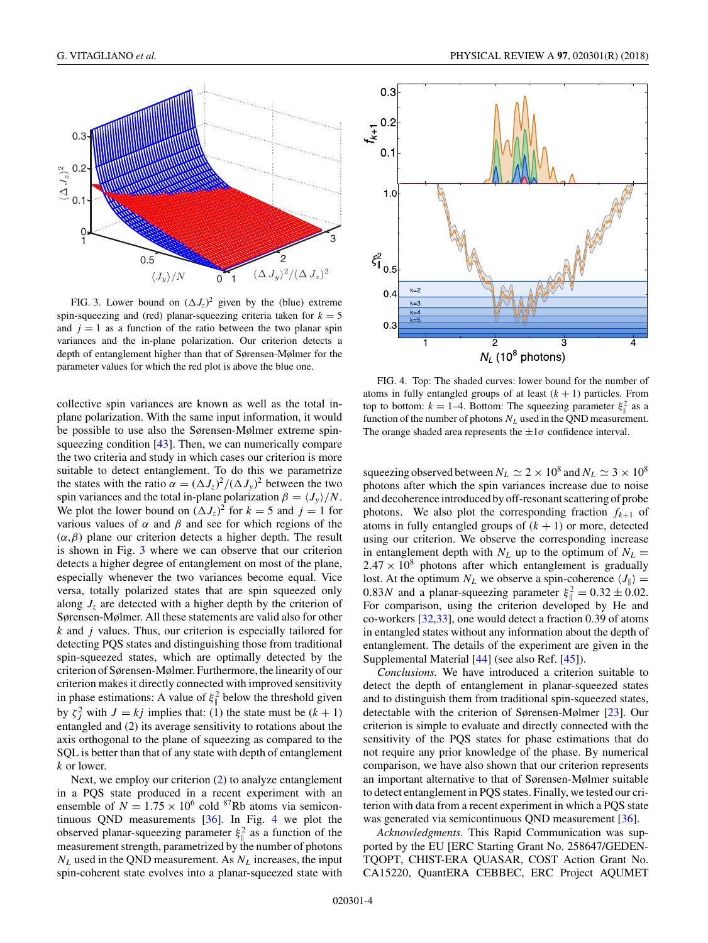

FIG. 3. Lower bound on  $(\Delta J_z)^2$  given by the (blue) extreme spin-squeezing and (red) planar-squeezing criteria taken for  $k = 5$ and  $j = 1$  as a function of the ratio between the two planar spin variances and the in-plane polarization. Our criterion detects a depth of entanglement higher than that of Sørensen-Mølmer for the parameter values for which the red plot is above the blue one.

collective spin variances are known as well as the total inplane polarization. With the same input information, it would be possible to use also the Sørensen-Mølmer extreme spin-squeezing condition [\[43\]](#page-5-0). Then, we can numerically compare the two criteria and study in which cases our criterion is more suitable to detect entanglement. To do this we parametrize the states with the ratio  $\alpha = (\Delta J_z)^2 / (\Delta J_y)^2$  between the two spin variances and the total in-plane polarization  $\beta = \langle J_y \rangle / N$ . We plot the lower bound on  $(\Delta J_z)^2$  for  $k = 5$  and  $j = 1$  for various values of *α* and *β* and see for which regions of the (*α,β*) plane our criterion detects a higher depth. The result is shown in Fig. 3 where we can observe that our criterion detects a higher degree of entanglement on most of the plane, especially whenever the two variances become equal. Vice versa, totally polarized states that are spin squeezed only along  $J_z$  are detected with a higher depth by the criterion of Sørensen-Mølmer. All these statements are valid also for other *k* and *j* values. Thus, our criterion is especially tailored for detecting PQS states and distinguishing those from traditional spin-squeezed states, which are optimally detected by the criterion of Sørensen-Mølmer. Furthermore, the linearity of our criterion makes it directly connected with improved sensitivity in phase estimations: A value of  $\xi_{\parallel}^2$  below the threshold given by  $\zeta_j^2$  with  $J = kj$  implies that: (1) the state must be  $(k + 1)$ entangled and (2) its average sensitivity to rotations about the axis orthogonal to the plane of squeezing as compared to the SQL is better than that of any state with depth of entanglement *k* or lower.

Next, we employ our criterion [\(2\)](#page-0-0) to analyze entanglement in a PQS state produced in a recent experiment with an ensemble of  $N = 1.75 \times 10^6$  cold <sup>87</sup>Rb atoms via semicontinuous QND measurements [\[36\]](#page-5-0). In Fig. 4 we plot the observed planar-squeezing parameter  $\xi_{\parallel}^2$  as a function of the measurement strength, parametrized by the number of photons *NL* used in the QND measurement. As *NL* increases, the input spin-coherent state evolves into a planar-squeezed state with



FIG. 4. Top: The shaded curves: lower bound for the number of atoms in fully entangled groups of at least  $(k + 1)$  particles. From top to bottom:  $k = 1-4$ . Bottom: The squeezing parameter  $\xi_{\parallel}^2$  as a function of the number of photons  $N_L$  used in the QND measurement. The orange shaded area represents the  $\pm 1\sigma$  confidence interval.

squeezing observed between  $N_L \simeq 2 \times 10^8$  and  $N_L \simeq 3 \times 10^8$ photons after which the spin variances increase due to noise and decoherence introduced by off-resonant scattering of probe photons. We also plot the corresponding fraction  $f_{k+1}$  of atoms in fully entangled groups of  $(k + 1)$  or more, detected using our criterion. We observe the corresponding increase in entanglement depth with  $N_L$  up to the optimum of  $N_L$  =  $2.47 \times 10^8$  photons after which entanglement is gradually lost. At the optimum  $N_L$  we observe a spin-coherence  $\langle J_{\parallel} \rangle =$ 0.83*N* and a planar-squeezing parameter  $\xi_{\parallel}^2 = 0.32 \pm 0.02$ . For comparison, using the criterion developed by He and co-workers [\[32,33\]](#page-5-0), one would detect a fraction 0.39 of atoms in entangled states without any information about the depth of entanglement. The details of the experiment are given in the Supplemental Material [\[44\]](#page-5-0) (see also Ref. [\[45\]](#page-5-0)).

*Conclusions.* We have introduced a criterion suitable to detect the depth of entanglement in planar-squeezed states and to distinguish them from traditional spin-squeezed states, detectable with the criterion of Sørensen-Mølmer [\[23\]](#page-5-0). Our criterion is simple to evaluate and directly connected with the sensitivity of the PQS states for phase estimations that do not require any prior knowledge of the phase. By numerical comparison, we have also shown that our criterion represents an important alternative to that of Sørensen-Mølmer suitable to detect entanglement in PQS states. Finally, we tested our criterion with data from a recent experiment in which a PQS state was generated via semicontinuous QND measurement [\[36\]](#page-5-0).

*Acknowledgments.* This Rapid Communication was supported by the EU [ERC Starting Grant No. 258647/GEDEN-TQOPT, CHIST-ERA QUASAR, COST Action Grant No. CA15220, QuantERA CEBBEC, ERC Project AQUMET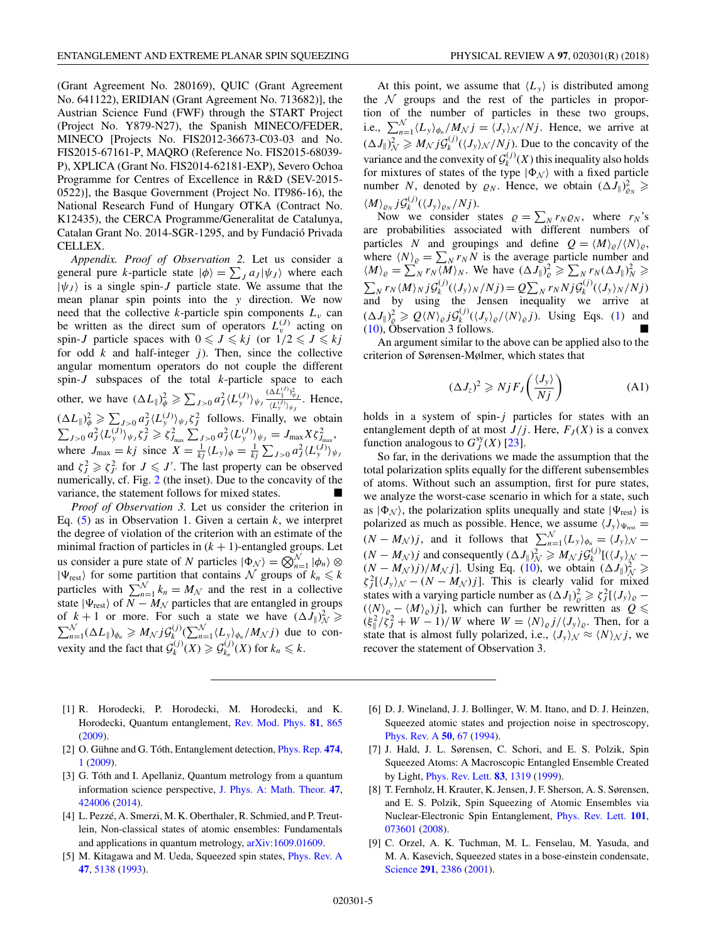<span id="page-4-0"></span>(Grant Agreement No. 280169), QUIC (Grant Agreement No. 641122), ERIDIAN (Grant Agreement No. 713682)], the Austrian Science Fund (FWF) through the START Project (Project No. Y879-N27), the Spanish MINECO/FEDER, MINECO [Projects No. FIS2012-36673-C03-03 and No. FIS2015-67161-P, MAQRO (Reference No. FIS2015-68039- P), XPLICA (Grant No. FIS2014-62181-EXP), Severo Ochoa Programme for Centres of Excellence in R&D (SEV-2015- 0522)], the Basque Government (Project No. IT986-16), the National Research Fund of Hungary OTKA (Contract No. K12435), the CERCA Programme/Generalitat de Catalunya, Catalan Grant No. 2014-SGR-1295, and by Fundació Privada CELLEX.

*Appendix. Proof of Observation 2.* Let us consider a general pure *k*-particle state  $|\phi\rangle = \sum_{J} a_{J} |\psi_{J}\rangle$  where each  $|\psi_J\rangle$  is a single spin-*J* particle state. We assume that the mean planar spin points into the *y* direction. We now need that the collective  $k$ -particle spin components  $L<sub>v</sub>$  can be written as the direct sum of operators  $L_v^{(J)}$  acting on spin-*J* particle spaces with  $0 \le J \le kj$  (or  $1/2 \le J \le kj$ for odd  $k$  and half-integer  $j$ ). Then, since the collective angular momentum operators do not couple the different spin-*J* subspaces of the total *k*-particle space to each other, we have  $(\Delta L_{\parallel})^2_{\phi} \ge \sum_{J>0} a_J^2 \langle L_y^{(J)} \rangle_{\psi}$  $(\Delta L_{\|}^{(J)})_{\psi j}^2$  $\frac{dL_y(y)}{dL_y(y)}$ . Hence,  $(\Delta L_{\parallel})^2_{\phi} \ge \sum_{J>0} a_J^2 \langle L_y^{(J)} \rangle_{\psi_J} \zeta_J^2$  follows. Finally, we obtain  $\sum_{J>0} a_J^2 \langle L_y^{(J)} \rangle_{\psi_J} \zeta_J^2 \geqslant \zeta_{J_{\rm max}}^2 \sum_{J>0} a_J^2 \langle L_y^{(J)} \rangle_{\psi_J} = J_{\rm max} X \zeta_{J_{\rm max}}^2,$ where  $J_{\text{max}} = kj$  since  $X = \frac{1}{kj} \langle L_y \rangle_{\phi} = \frac{1}{kj} \sum_{J>0} a_j^2 \langle L_y^{(J)} \rangle_{\psi}$ <br>and  $z^2 > z^2$  for  $I \leq J'$ . The last property can be observed and  $\zeta_j^2 \geq \zeta_{j'}^2$  for  $J \leq J'$ . The last property can be observed numerically, cf. Fig. [2](#page-2-0) (the inset). Due to the concavity of the variance, the statement follows for mixed states.

*Proof of Observation 3.* Let us consider the criterion in Eq. [\(5\)](#page-1-0) as in Observation 1. Given a certain *k*, we interpret the degree of violation of the criterion with an estimate of the minimal fraction of particles in  $(k + 1)$ -entangled groups. Let us consider a pure state of *N* particles  $|\Phi_N\rangle = \bigotimes_{n=1}^N |\phi_n\rangle \otimes$  $|\Psi_{\text{rest}}\rangle$  for some partition that contains N groups of  $k_n \leq k$ particles with  $\sum_{n=1}^{N} k_n = M_N$  and the rest in a collective state  $|\Psi_{\text{rest}}\rangle$  of *N* − *M<sub>N</sub>* particles that are entangled in groups of  $k + 1$  or more. For such a state we have  $(\Delta J_{\parallel})^2_{\mathcal{N}} \geq \sum_{n=1}^{\mathcal{N}} (\Delta L_{\parallel})_{\phi_n} \geq M_{\mathcal{N}} j \mathcal{G}_{k}^{(j)} \left( \sum_{n=1}^{\mathcal{N}} \langle L_y \rangle_{\phi_n} / M_{\mathcal{N}} j \right)$  due to convexity and the fact that  $\mathcal{G}_k^{(j)}(X) \geq \mathcal{G}_{k_n}^{(j)}(X)$  for  $k_n \leq k$ .

At this point, we assume that  $\langle L_y \rangle$  is distributed among the  $N$  groups and the rest of the particles in proportion of the number of particles in these two groups, i.e.,  $\sum_{n=1}^{N} \langle L_y \rangle_{\phi_n} / M_N j = \langle J_y \rangle_{N} / N j$ . Hence, we arrive at  $(\Delta J_{\parallel})^2_{\mathcal{N}} \geq M_{\mathcal{N}} j \mathcal{G}_k^{(j)}(\langle J_{\mathcal{Y}} \rangle_{\mathcal{N}}/N_j)$ . Due to the concavity of the variance and the convexity of  $\mathcal{G}_k^{(j)}(X)$  this inequality also holds for mixtures of states of the type  $|\Phi_N\rangle$  with a fixed particle number *N*, denoted by  $\varrho_N$ . Hence, we obtain  $(\Delta J_{\parallel})^2_{\varrho_N} \geqslant$  $\langle M \rangle_{\varrho_N} j \mathcal{G}_k^{(j)} (\langle J_y \rangle_{\varrho_N}/Nj).$ 

Now we consider states  $\rho = \sum_{N} r_{N} \rho_{N}$ , where  $r_{N}$ 's are probabilities associated with different numbers of particles *N* and groupings and define  $Q = \langle M \rangle_{Q} / \langle N \rangle_{Q}$ , where  $\langle N \rangle_{\varrho} = \sum_{N} r_{N} N$  is the average particle number and  $\langle M \rangle_{\varrho} = \sum_{N} r_{N} \langle M \rangle_{N}$ . We have  $(\Delta J_{\parallel})_{\varrho}^{2} \geqslant \sum_{N} r_{N} (\Delta J_{\parallel})_{N}^{2} \geqslant$  $\sum_{N} r_{N} \langle M \rangle_{N} j \mathcal{G}_{k}^{(j)}(\langle J_{y} \rangle_{N}/Nj) = Q \sum_{N} r_{N} N j \mathcal{G}_{k}^{(j)}(\langle J_{y} \rangle_{N}/Nj)$ and by using the Jensen inequality we arrive at  $(\Delta J_{\parallel})^2_{\varrho} \geq Q \langle N \rangle_{\varrho} j \mathcal{G}_k^{(j)}(\langle J_y \rangle_{\varrho} / \langle N \rangle_{\varrho} j)$ . Using Eqs. [\(1\)](#page-0-0) and  $(10)$ , Observation 3 follows.

An argument similar to the above can be applied also to the criterion of Sørensen-Mølmer, which states that

$$
(\Delta J_z)^2 \ge NjF_J\left(\frac{\langle J_y \rangle}{Nj}\right) \tag{A1}
$$

holds in a system of spin-*j* particles for states with an entanglement depth of at most  $J/j$ . Here,  $F_J(X)$  is a convex function analogous to  $G_J^{sy}(X)$  [\[23\]](#page-5-0).

So far, in the derivations we made the assumption that the total polarization splits equally for the different subensembles of atoms. Without such an assumption, first for pure states, we analyze the worst-case scenario in which for a state, such as  $|\Phi_N\rangle$ , the polarization splits unequally and state  $|\Psi_{\text{rest}}\rangle$  is polarized as much as possible. Hence, we assume  $\langle J_y \rangle_{\Psi_{\text{rest}}} =$  $(N - M_N)j$ , and it follows that  $\sum_{n=1}^{N} \langle L_y \rangle_{\phi_n} = \langle J_y \rangle_{\mathcal{N}}$  $(N - M_N)j$  and consequently  $(\Delta J_{\parallel})^2$   $\geq M_N j \mathcal{G}_k^{(j)}$  [ $((J_y)_{N}$  –  $(N - M_N)j$ / $M_N j$ ]. Using Eq. [\(10\)](#page-2-0), we obtain  $(\Delta J_{\parallel})^2$   $\ge$  $\zeta_j^2$ [ $\langle J_y \rangle$ <sub>N</sub> –  $(N - M_N)j$ ]. This is clearly valid for mixed states with a varying particle number as  $(\Delta J_{\parallel})^2_{\varrho} \ge \zeta^2_J[\langle J_y \rangle_{\varrho}$  –  $((N)_{\varrho} - (M)_{\varrho})j$ , which can further be rewritten as  $Q \leq$  $(\xi_{\parallel}^2/\zeta_j^2 + W - 1)/W$  where  $W = \langle N \rangle_{\varrho} j/\langle J_y \rangle_{\varrho}$ . Then, for a state that is almost fully polarized, i.e.,  $\langle J_y \rangle_{N} \approx \langle N \rangle_{N} j$ , we recover the statement of Observation 3.

- [1] R. Horodecki, P. Horodecki, M. Horodecki, and K. Horodecki, Quantum entanglement, [Rev. Mod. Phys.](https://doi.org/10.1103/RevModPhys.81.865) **[81](https://doi.org/10.1103/RevModPhys.81.865)**, [865](https://doi.org/10.1103/RevModPhys.81.865) [\(2009\)](https://doi.org/10.1103/RevModPhys.81.865).
- [2] O. Gühne and G. Tóth, Entanglement detection, [Phys. Rep.](https://doi.org/10.1016/j.physrep.2009.02.004) **[474](https://doi.org/10.1016/j.physrep.2009.02.004)**, [1](https://doi.org/10.1016/j.physrep.2009.02.004) [\(2009\)](https://doi.org/10.1016/j.physrep.2009.02.004).
- [3] G. Tóth and I. Apellaniz, Quantum metrology from a quantum information science perspective, [J. Phys. A: Math. Theor.](https://doi.org/10.1088/1751-8113/47/42/424006) **[47](https://doi.org/10.1088/1751-8113/47/42/424006)**, [424006](https://doi.org/10.1088/1751-8113/47/42/424006) [\(2014\)](https://doi.org/10.1088/1751-8113/47/42/424006).
- [4] L. Pezzé, A. Smerzi, M. K. Oberthaler, R. Schmied, and P. Treutlein, Non-classical states of atomic ensembles: Fundamentals and applications in quantum metrology, [arXiv:1609.01609.](http://arxiv.org/abs/arXiv:1609.01609)
- [5] M. Kitagawa and M. Ueda, Squeezed spin states, [Phys. Rev. A](https://doi.org/10.1103/PhysRevA.47.5138) **[47](https://doi.org/10.1103/PhysRevA.47.5138)**, [5138](https://doi.org/10.1103/PhysRevA.47.5138) [\(1993\)](https://doi.org/10.1103/PhysRevA.47.5138).
- [6] D. J. Wineland, J. J. Bollinger, W. M. Itano, and D. J. Heinzen, Squeezed atomic states and projection noise in spectroscopy, [Phys. Rev. A](https://doi.org/10.1103/PhysRevA.50.67) **[50](https://doi.org/10.1103/PhysRevA.50.67)**, [67](https://doi.org/10.1103/PhysRevA.50.67) [\(1994\)](https://doi.org/10.1103/PhysRevA.50.67).
- [7] J. Hald, J. L. Sørensen, C. Schori, and E. S. Polzik, Spin Squeezed Atoms: A Macroscopic Entangled Ensemble Created by Light, [Phys. Rev. Lett.](https://doi.org/10.1103/PhysRevLett.83.1319) **[83](https://doi.org/10.1103/PhysRevLett.83.1319)**, [1319](https://doi.org/10.1103/PhysRevLett.83.1319) [\(1999\)](https://doi.org/10.1103/PhysRevLett.83.1319).
- [8] T. Fernholz, H. Krauter, K. Jensen, J. F. Sherson, A. S. Sørensen, and E. S. Polzik, Spin Squeezing of Atomic Ensembles via Nuclear-Electronic Spin Entanglement, [Phys. Rev. Lett.](https://doi.org/10.1103/PhysRevLett.101.073601) **[101](https://doi.org/10.1103/PhysRevLett.101.073601)**, [073601](https://doi.org/10.1103/PhysRevLett.101.073601) [\(2008\)](https://doi.org/10.1103/PhysRevLett.101.073601).
- [9] C. Orzel, A. K. Tuchman, M. L. Fenselau, M. Yasuda, and M. A. Kasevich, Squeezed states in a bose-einstein condensate, [Science](https://doi.org/10.1126/science.1058149) **[291](https://doi.org/10.1126/science.1058149)**, [2386](https://doi.org/10.1126/science.1058149) [\(2001\)](https://doi.org/10.1126/science.1058149).